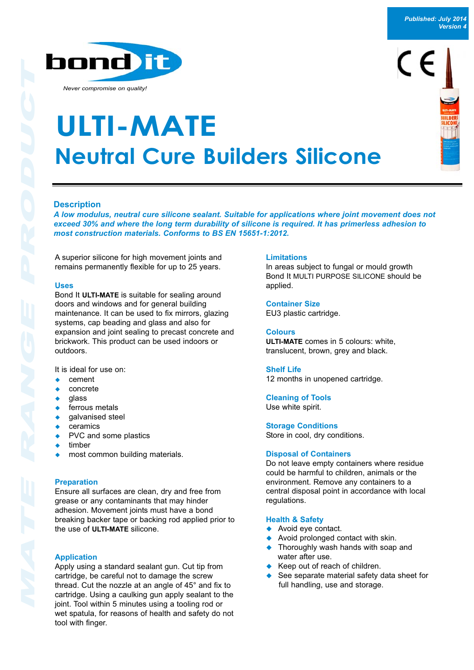bond) it

*Never compromise on quality!*

# **Neutral Cure Builders Silicone ULTI-MATE**

# **Description**

*A low modulus, neutral cure silicone sealant. Suitable for applications where joint movement does not exceed 30% and where the long term durability of silicone is required. It has primerless adhesion to most construction materials. Conforms to BS EN 15651-1:2012.*

A superior silicone for high movement joints and remains permanently flexible for up to 25 years.

# **Uses**

Bond It **ULTI-MATE** is suitable for sealing around doors and windows and for general building maintenance. It can be used to fix mirrors, glazing systems, cap beading and glass and also for expansion and joint sealing to precast concrete and brickwork. This product can be used indoors or outdoors.

It is ideal for use on:

- ! cement
- ! concrete
- ! glass
- ferrous metals
- qalvanised steel
- **ceramics**
- PVC and some plastics
- timber
- most common building materials.

#### **Preparation**

Ensure all surfaces are clean, dry and free from grease or any contaminants that may hinder adhesion. Movement joints must have a bond breaking backer tape or backing rod applied prior to the use of **ULTI-MATE** silicone.

# **Application**

Apply using a standard sealant gun. Cut tip from cartridge, be careful not to damage the screw thread. Cut the nozzle at an angle of 45° and fix to cartridge. Using a caulking gun apply sealant to the joint. Tool within 5 minutes using a tooling rod or wet spatula, for reasons of health and safety do not tool with finger.

## **Limitations**

In areas subject to fungal or mould growth Bond It MULTI PURPOSE SILICONE should be applied.

## **Container Size**

EU3 plastic cartridge.

# **Colours**

**ULTI-MATE** comes in 5 colours: white, translucent, brown, grey and black.

## **Shelf Life**

12 months in unopened cartridge.

**Cleaning of Tools** Use white spirit.

**Storage Conditions**

Store in cool, dry conditions.

# **Disposal of Containers**

Do not leave empty containers where residue could be harmful to children, animals or the environment. Remove any containers to a central disposal point in accordance with local regulations.

#### **Health & Safety**

- ◆ Avoid eye contact.
- Avoid prolonged contact with skin.
- ! Thoroughly wash hands with soap and water after use.
- Keep out of reach of children.
- See separate material safety data sheet for full handling, use and storage.

*Published: July 2014 Version 4*